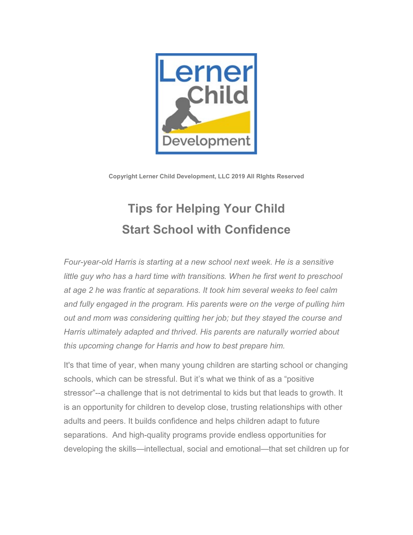

**Copyright Lerner Child Development, LLC 2019 All RIghts Reserved**

## **Tips for Helping Your Child Start School with Confidence**

*Four-year-old Harris is starting at a new school next week. He is a sensitive little guy who has a hard time with transitions. When he first went to preschool at age 2 he was frantic at separations. It took him several weeks to feel calm*  and fully engaged in the program. His parents were on the verge of pulling him *out and mom was considering quitting her job; but they stayed the course and Harris ultimately adapted and thrived. His parents are naturally worried about this upcoming change for Harris and how to best prepare him.*

It's that time of year, when many young children are starting school or changing schools, which can be stressful. But it's what we think of as a "positive stressor"--a challenge that is not detrimental to kids but that leads to growth. It is an opportunity for children to develop close, trusting relationships with other adults and peers. It builds confidence and helps children adapt to future separations. And high-quality programs provide endless opportunities for developing the skills—intellectual, social and emotional—that set children up for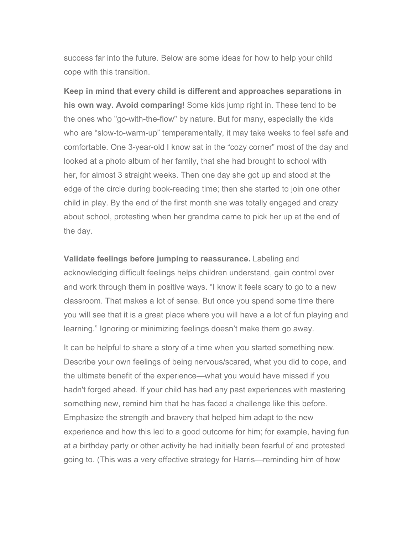success far into the future. Below are some ideas for how to help your child cope with this transition.

**Keep in mind that every child is different and approaches separations in his own way. Avoid comparing!** Some kids jump right in. These tend to be the ones who "go-with-the-flow" by nature. But for many, especially the kids who are "slow-to-warm-up" temperamentally, it may take weeks to feel safe and comfortable. One 3-year-old I know sat in the "cozy corner" most of the day and looked at a photo album of her family, that she had brought to school with her, for almost 3 straight weeks. Then one day she got up and stood at the edge of the circle during book-reading time; then she started to join one other child in play. By the end of the first month she was totally engaged and crazy about school, protesting when her grandma came to pick her up at the end of the day.

**Validate feelings before jumping to reassurance.** Labeling and acknowledging difficult feelings helps children understand, gain control over and work through them in positive ways. "I know it feels scary to go to a new classroom. That makes a lot of sense. But once you spend some time there you will see that it is a great place where you will have a a lot of fun playing and learning." Ignoring or minimizing feelings doesn't make them go away.

It can be helpful to share a story of a time when you started something new. Describe your own feelings of being nervous/scared, what you did to cope, and the ultimate benefit of the experience—what you would have missed if you hadn't forged ahead. If your child has had any past experiences with mastering something new, remind him that he has faced a challenge like this before. Emphasize the strength and bravery that helped him adapt to the new experience and how this led to a good outcome for him; for example, having fun at a birthday party or other activity he had initially been fearful of and protested going to. (This was a very effective strategy for Harris—reminding him of how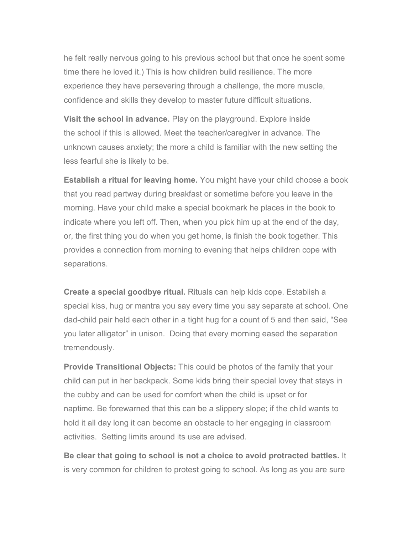he felt really nervous going to his previous school but that once he spent some time there he loved it.) This is how children build resilience. The more experience they have persevering through a challenge, the more muscle, confidence and skills they develop to master future difficult situations.

**Visit the school in advance.** Play on the playground. Explore inside the school if this is allowed. Meet the teacher/caregiver in advance. The unknown causes anxiety; the more a child is familiar with the new setting the less fearful she is likely to be.

**Establish a ritual for leaving home.** You might have your child choose a book that you read partway during breakfast or sometime before you leave in the morning. Have your child make a special bookmark he places in the book to indicate where you left off. Then, when you pick him up at the end of the day, or, the first thing you do when you get home, is finish the book together. This provides a connection from morning to evening that helps children cope with separations.

**Create a special goodbye ritual.** Rituals can help kids cope. Establish a special kiss, hug or mantra you say every time you say separate at school. One dad-child pair held each other in a tight hug for a count of 5 and then said, "See you later alligator" in unison. Doing that every morning eased the separation tremendously.

**Provide Transitional Objects:** This could be photos of the family that your child can put in her backpack. Some kids bring their special lovey that stays in the cubby and can be used for comfort when the child is upset or for naptime. Be forewarned that this can be a slippery slope; if the child wants to hold it all day long it can become an obstacle to her engaging in classroom activities. Setting limits around its use are advised.

**Be clear that going to school is not a choice to avoid protracted battles.** It is very common for children to protest going to school. As long as you are sure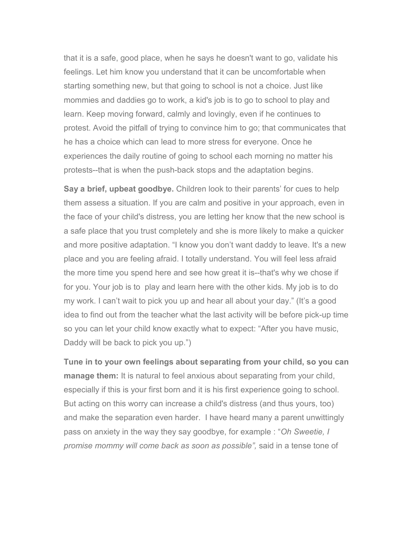that it is a safe, good place, when he says he doesn't want to go, validate his feelings. Let him know you understand that it can be uncomfortable when starting something new, but that going to school is not a choice. Just like mommies and daddies go to work, a kid's job is to go to school to play and learn. Keep moving forward, calmly and lovingly, even if he continues to protest. Avoid the pitfall of trying to convince him to go; that communicates that he has a choice which can lead to more stress for everyone. Once he experiences the daily routine of going to school each morning no matter his protests--that is when the push-back stops and the adaptation begins.

**Say a brief, upbeat goodbye.** Children look to their parents' for cues to help them assess a situation. If you are calm and positive in your approach, even in the face of your child's distress, you are letting her know that the new school is a safe place that you trust completely and she is more likely to make a quicker and more positive adaptation. "I know you don't want daddy to leave. It's a new place and you are feeling afraid. I totally understand. You will feel less afraid the more time you spend here and see how great it is--that's why we chose if for you. Your job is to play and learn here with the other kids. My job is to do my work. I can't wait to pick you up and hear all about your day." (It's a good idea to find out from the teacher what the last activity will be before pick-up time so you can let your child know exactly what to expect: "After you have music, Daddy will be back to pick you up.")

**Tune in to your own feelings about separating from your child, so you can manage them:** It is natural to feel anxious about separating from your child, especially if this is your first born and it is his first experience going to school. But acting on this worry can increase a child's distress (and thus yours, too) and make the separation even harder. I have heard many a parent unwittingly pass on anxiety in the way they say goodbye, for example : "*Oh Sweetie, I promise mommy will come back as soon as possible",* said in a tense tone of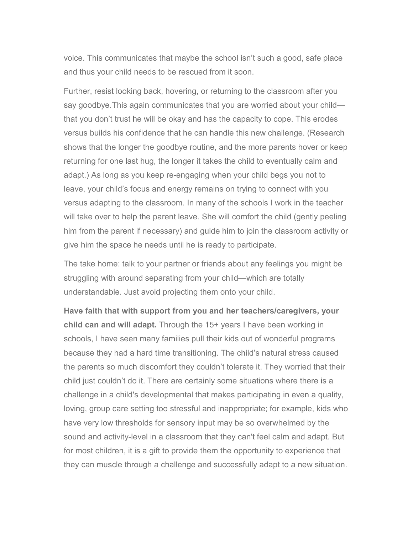voice. This communicates that maybe the school isn't such a good, safe place and thus your child needs to be rescued from it soon.

Further, resist looking back, hovering, or returning to the classroom after you say goodbye.This again communicates that you are worried about your child that you don't trust he will be okay and has the capacity to cope. This erodes versus builds his confidence that he can handle this new challenge. (Research shows that the longer the goodbye routine, and the more parents hover or keep returning for one last hug, the longer it takes the child to eventually calm and adapt.) As long as you keep re-engaging when your child begs you not to leave, your child's focus and energy remains on trying to connect with you versus adapting to the classroom. In many of the schools I work in the teacher will take over to help the parent leave. She will comfort the child (gently peeling him from the parent if necessary) and guide him to join the classroom activity or give him the space he needs until he is ready to participate.

The take home: talk to your partner or friends about any feelings you might be struggling with around separating from your child—which are totally understandable. Just avoid projecting them onto your child.

**Have faith that with support from you and her teachers/caregivers, your child can and will adapt.** Through the 15+ years I have been working in schools, I have seen many families pull their kids out of wonderful programs because they had a hard time transitioning. The child's natural stress caused the parents so much discomfort they couldn't tolerate it. They worried that their child just couldn't do it. There are certainly some situations where there is a challenge in a child's developmental that makes participating in even a quality, loving, group care setting too stressful and inappropriate; for example, kids who have very low thresholds for sensory input may be so overwhelmed by the sound and activity-level in a classroom that they can't feel calm and adapt. But for most children, it is a gift to provide them the opportunity to experience that they can muscle through a challenge and successfully adapt to a new situation.